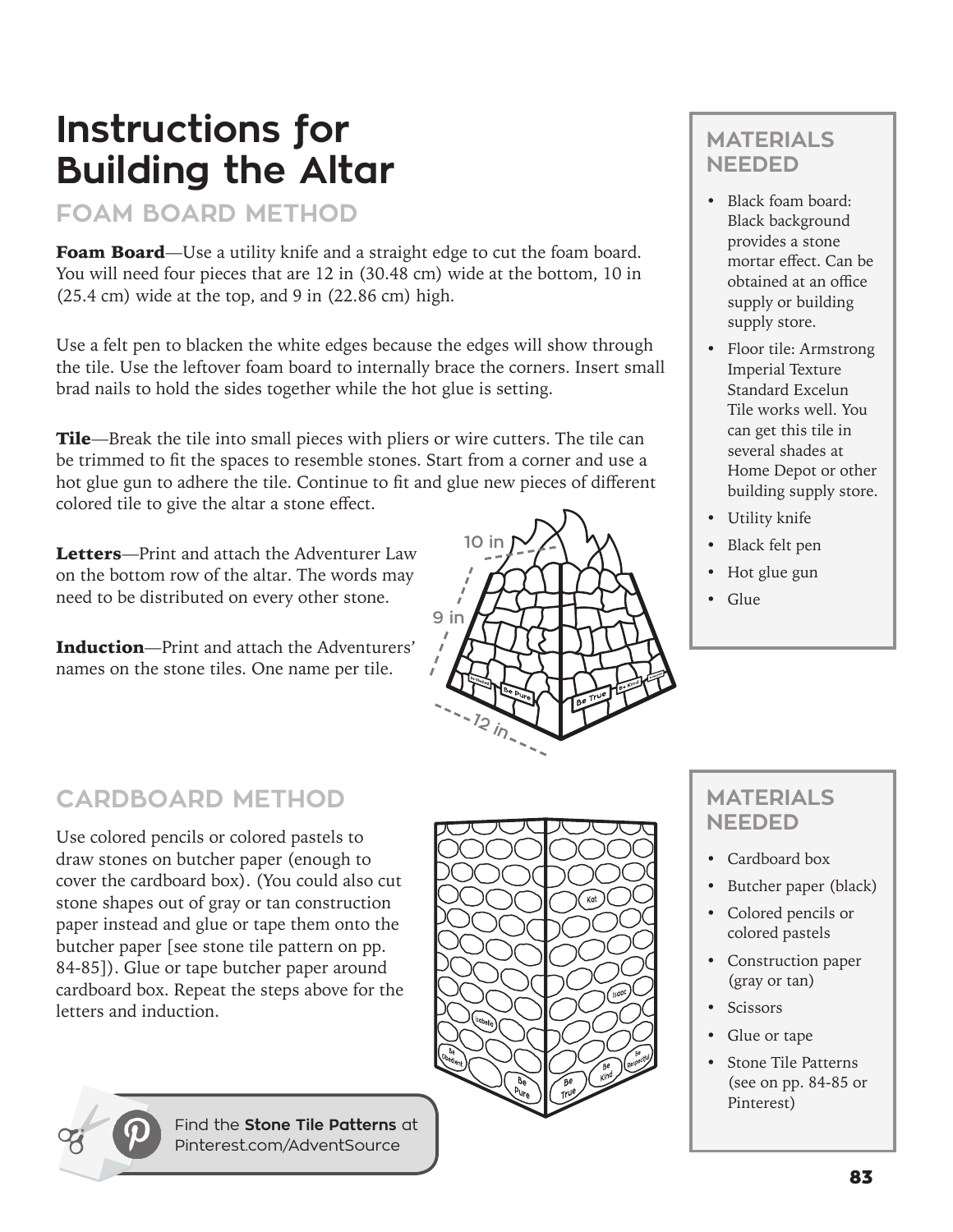## **Instructions for Building the Altar**

#### **FOAM BOARD METHOD**

Foam Board-Use a utility knife and a straight edge to cut the foam board. You will need four pieces that are 12 in (30.48 cm) wide at the bottom, 10 in  $(25.4 \text{ cm})$  wide at the top, and 9 in  $(22.86 \text{ cm})$  high.

Use a felt pen to blacken the white edges because the edges will show through the tile. Use the leftover foam board to internally brace the corners. Insert small brad nails to hold the sides together while the hot glue is setting.

Tile—Break the tile into small pieces with pliers or wire cutters. The tile can be trimmed to fit the spaces to resemble stones. Start from a corner and use a hot glue gun to adhere the tile. Continue to fit and glue new pieces of different colored tile to give the altar a stone effect.

Letters-Print and attach the Adventurer Law on the bottom row of the altar. The words may need to be distributed on every other stone.

Induction—Print and attach the Adventurers' names on the stone tiles. One name per tile.

# **12 in 9 in 10 in**

### **CARDBOARD METHOD**

Use colored pencils or colored pastels to draw stones on butcher paper (enough to cover the cardboard box). (You could also cut stone shapes out of gray or tan construction paper instead and glue or tape them onto the butcher paper [see stone tile pattern on pp. 84-85]). Glue or tape butcher paper around cardboard box. Repeat the steps above for the letters and induction.



#### **MATERIALS NEEDED**

- Black foam board: Black background provides a stone mortar effect. Can be obtained at an office supply or building supply store.
- Floor tile: Armstrong Imperial Texture Standard Excelun Tile works well. You can get this tile in several shades at Home Depot or other building supply store.
- Utility knife
- Black felt pen
- Hot glue gun
- Glue

#### **MATERIALS NEEDED**

- Cardboard box
- Butcher paper (black)
- Colored pencils or colored pastels
- Construction paper (gray or tan)
- Scissors
- Glue or tape
- Stone Tile Patterns (see on pp. 84-85 or Pinterest)

Find the **Stone Tile Patterns** at Pinterest.com/AdventSource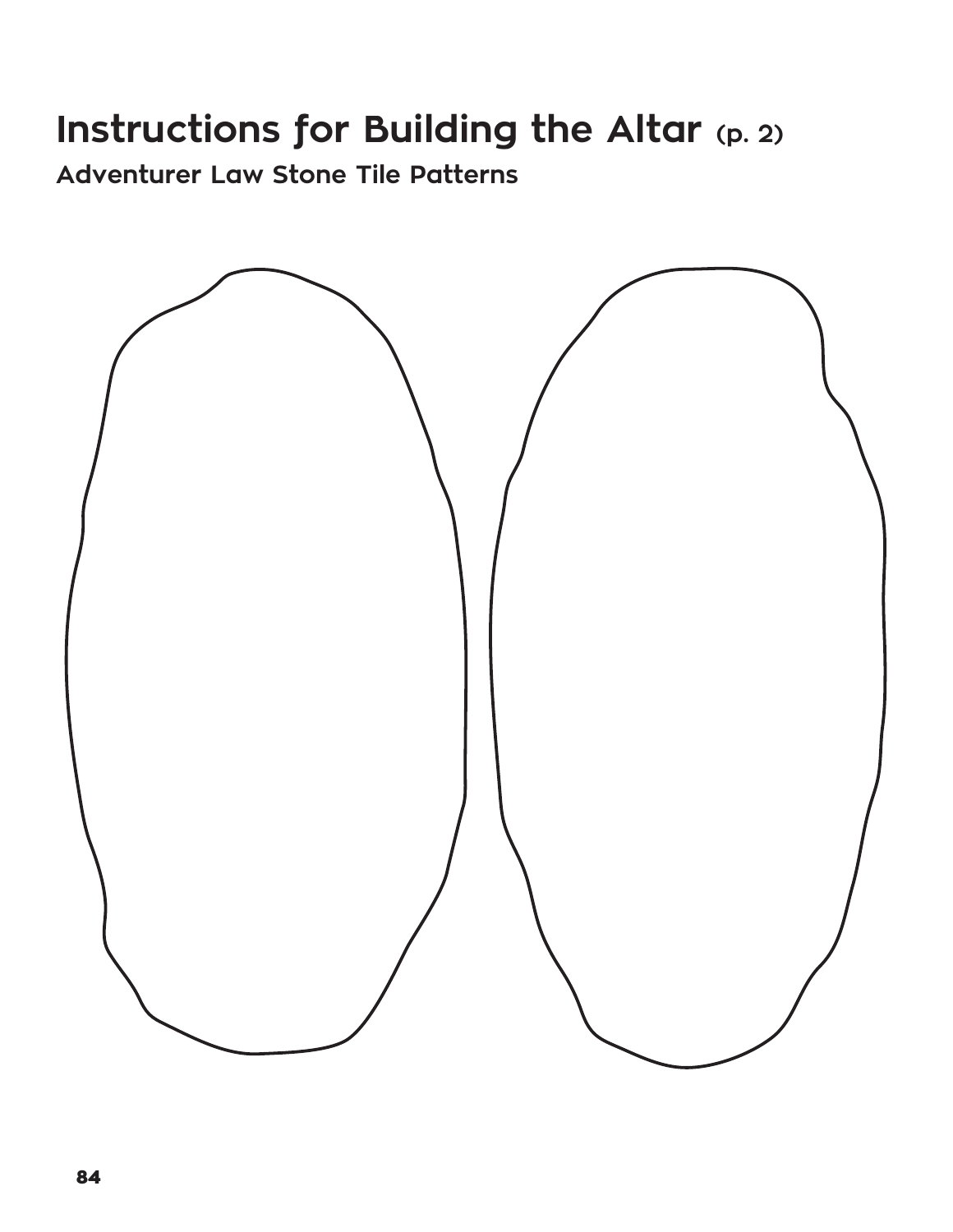## **Instructions for Building the Altar (p. 2)**

**Adventurer Law Stone Tile Patterns**